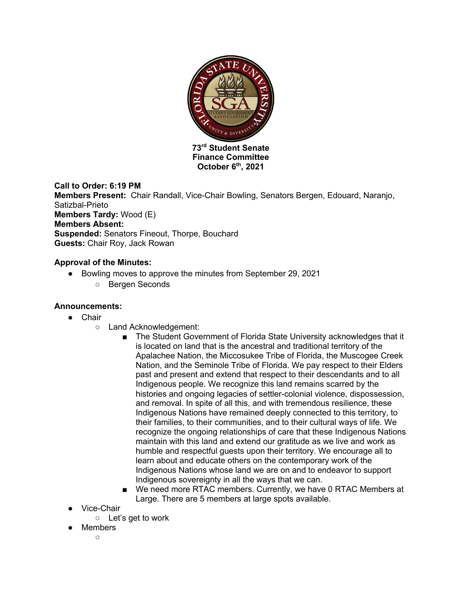

**Finance Committee October 6th, 2021**

# **Call to Order: 6:19 PM**

**Members Present:** Chair Randall, Vice-Chair Bowling, Senators Bergen, Edouard, Naranjo, Satizbal-Prieto **Members Tardy:** Wood (E) **Members Absent: Suspended:** Senators Fineout, Thorpe, Bouchard **Guests:** Chair Roy, Jack Rowan

# **Approval of the Minutes:**

- Bowling moves to approve the minutes from September 29, 2021
	- Bergen Seconds

#### **Announcements:**

- Chair
	- Land Acknowledgement:
		- The Student Government of Florida State University acknowledges that it is located on land that is the ancestral and traditional territory of the Apalachee Nation, the Miccosukee Tribe of Florida, the Muscogee Creek Nation, and the Seminole Tribe of Florida. We pay respect to their Elders past and present and extend that respect to their descendants and to all Indigenous people. We recognize this land remains scarred by the histories and ongoing legacies of settler-colonial violence, dispossession, and removal. In spite of all this, and with tremendous resilience, these Indigenous Nations have remained deeply connected to this territory, to their families, to their communities, and to their cultural ways of life. We recognize the ongoing relationships of care that these Indigenous Nations maintain with this land and extend our gratitude as we live and work as humble and respectful guests upon their territory. We encourage all to learn about and educate others on the contemporary work of the Indigenous Nations whose land we are on and to endeavor to support Indigenous sovereignty in all the ways that we can.
		- We need more RTAC members. Currently, we have 0 RTAC Members at Large. There are 5 members at large spots available.
- Vice-Chair
	- $\circ$  Let's get to work
- Members  $\circ$ 
	-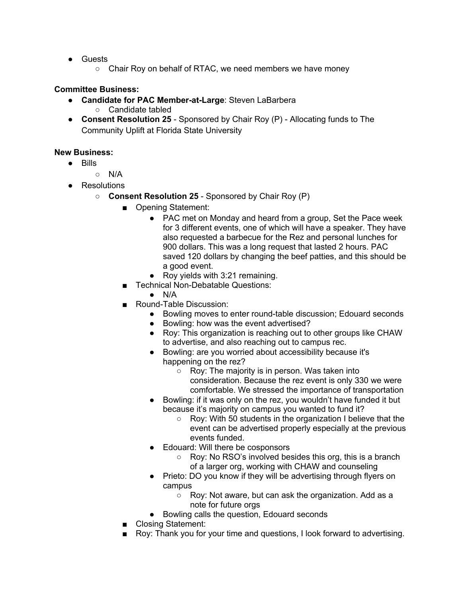- Guests
	- Chair Roy on behalf of RTAC, we need members we have money

# **Committee Business:**

- **Candidate for PAC Member-at-Large**: Steven LaBarbera ○ Candidate tabled
- **Consent Resolution 25** Sponsored by Chair Roy (P) Allocating funds to The Community Uplift at Florida State University

#### **New Business:**

- Bills
	- $\circ$  N/A
- Resolutions
	- **Consent Resolution 25** Sponsored by Chair Roy (P)
		- Opening Statement:
			- PAC met on Monday and heard from a group, Set the Pace week for 3 different events, one of which will have a speaker. They have also requested a barbecue for the Rez and personal lunches for 900 dollars. This was a long request that lasted 2 hours. PAC saved 120 dollars by changing the beef patties, and this should be a good event.
			- Roy yields with 3:21 remaining.
		- Technical Non-Debatable Questions:
			- $\bullet$  N/A
		- Round-Table Discussion:
			- Bowling moves to enter round-table discussion; Edouard seconds
			- Bowling: how was the event advertised?
			- Roy: This organization is reaching out to other groups like CHAW to advertise, and also reaching out to campus rec.
			- Bowling: are you worried about accessibility because it's happening on the rez?
				- Roy: The majority is in person. Was taken into consideration. Because the rez event is only 330 we were comfortable. We stressed the importance of transportation
			- Bowling: if it was only on the rez, you wouldn't have funded it but because it's majority on campus you wanted to fund it?
				- Roy: With 50 students in the organization I believe that the event can be advertised properly especially at the previous events funded.
			- Edouard: Will there be cosponsors
				- Roy: No RSO's involved besides this org, this is a branch of a larger org, working with CHAW and counseling
			- Prieto: DO you know if they will be advertising through flyers on campus
				- Roy: Not aware, but can ask the organization. Add as a note for future orgs
			- Bowling calls the question, Edouard seconds
		- Closing Statement:
		- Roy: Thank you for your time and questions, I look forward to advertising.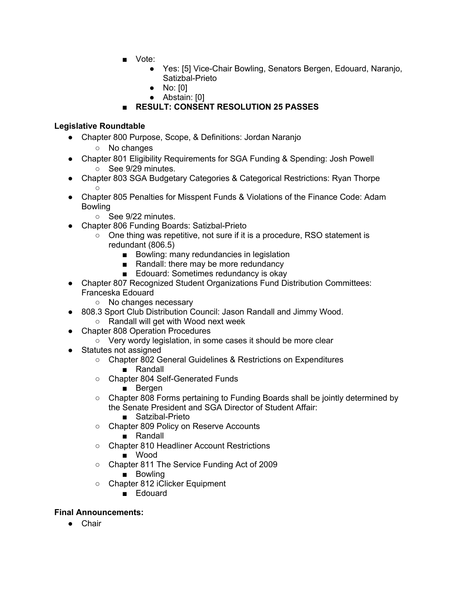- Vote:
	- Yes: [5] Vice-Chair Bowling, Senators Bergen, Edouard, Naranjo, Satizbal-Prieto
	- No: [0]
	- Abstain: [0]

# ■ **RESULT: CONSENT RESOLUTION 25 PASSES**

# **Legislative Roundtable**

- Chapter 800 Purpose, Scope, & Definitions: Jordan Naranjo
	- No changes
- Chapter 801 Eligibility Requirements for SGA Funding & Spending: Josh Powell ○ See 9/29 minutes.
- Chapter 803 SGA Budgetary Categories & Categorical Restrictions: Ryan Thorpe  $\circ$
- Chapter 805 Penalties for Misspent Funds & Violations of the Finance Code: Adam Bowling
	- See 9/22 minutes.
- Chapter 806 Funding Boards: Satizbal-Prieto
	- One thing was repetitive, not sure if it is a procedure, RSO statement is redundant (806.5)
		- Bowling: many redundancies in legislation
		- Randall: there may be more redundancy
		- Edouard: Sometimes redundancy is okay
- Chapter 807 Recognized Student Organizations Fund Distribution Committees: Franceska Edouard
	- No changes necessary
- 808.3 Sport Club Distribution Council: Jason Randall and Jimmy Wood.
	- Randall will get with Wood next week
- Chapter 808 Operation Procedures
	- Very wordy legislation, in some cases it should be more clear
- Statutes not assigned
	- Chapter 802 General Guidelines & Restrictions on Expenditures
		- Randall
	- Chapter 804 Self-Generated Funds
		- Bergen
	- Chapter 808 Forms pertaining to Funding Boards shall be jointly determined by the Senate President and SGA Director of Student Affair:
		- Satzibal-Prieto
	- Chapter 809 Policy on Reserve Accounts
		- Randall
	- Chapter 810 Headliner Account Restrictions
		- Wood
	- Chapter 811 The Service Funding Act of 2009
		- Bowling
	- Chapter 812 iClicker Equipment
		- Edouard

#### **Final Announcements:**

● Chair